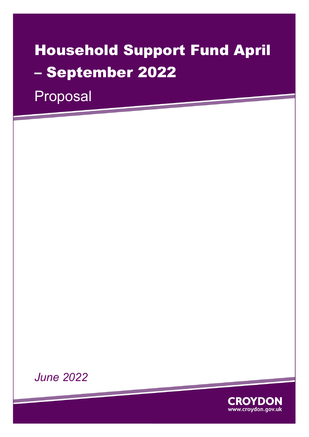# Household Support Fund April – September 2022

Proposal



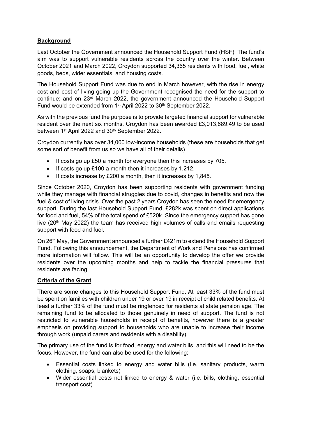# **Background**

Last October the Government announced the Household Support Fund (HSF). The fund's aim was to support vulnerable residents across the country over the winter. Between October 2021 and March 2022, Croydon supported 34,365 residents with food, fuel, white goods, beds, wider essentials, and housing costs.

The Household Support Fund was due to end in March however, with the rise in energy cost and cost of living going up the Government recognised the need for the support to continue; and on 23rd March 2022, the government announced the Household Support Fund would be extended from 1<sup>st</sup> April 2022 to 30<sup>th</sup> September 2022.

As with the previous fund the purpose is to provide targeted financial support for vulnerable resident over the next six months. Croydon has been awarded £3,013,689.49 to be used between 1<sup>st</sup> April 2022 and 30<sup>th</sup> September 2022.

Croydon currently has over 34,000 low-income households (these are households that get some sort of benefit from us so we have all of their details)

- If costs go up £50 a month for everyone then this increases by 705.
- If costs go up  $£100$  a month then it increases by 1,212.
- $\bullet$  If costs increase by £200 a month, then it increases by 1,845.

Since October 2020, Croydon has been supporting residents with government funding while they manage with financial struggles due to covid, changes in benefits and now the fuel & cost of living crisis. Over the past 2 years Croydon has seen the need for emergency support. During the last Household Support Fund, £282k was spent on direct applications for food and fuel, 54% of the total spend of £520k. Since the emergency support has gone live ( $20<sup>th</sup>$  May 2022) the team has received high volumes of calls and emails requesting support with food and fuel.

On 26th May, the Government announced a further £421m to extend the Household Support Fund. Following this announcement, the Department of Work and Pensions has confirmed more information will follow. This will be an opportunity to develop the offer we provide residents over the upcoming months and help to tackle the financial pressures that residents are facing.

#### **Criteria of the Grant**

There are some changes to this Household Support Fund. At least 33% of the fund must be spent on families with children under 19 or over 19 in receipt of child related benefits. At least a further 33% of the fund must be ringfenced for residents at state pension age. The remaining fund to be allocated to those genuinely in need of support. The fund is not restricted to vulnerable households in receipt of benefits, however there is a greater emphasis on providing support to households who are unable to increase their income through work (unpaid carers and residents with a disability).

The primary use of the fund is for food, energy and water bills, and this will need to be the focus. However, the fund can also be used for the following:

- Essential costs linked to energy and water bills (i.e. sanitary products, warm clothing, soaps, blankets)
- Wider essential costs not linked to energy & water (i.e. bills, clothing, essential transport cost)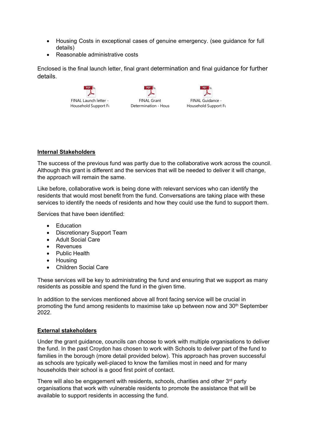- Housing Costs in exceptional cases of genuine emergency. (see guidance for full details)
- Reasonable administrative costs

Enclosed is the final launch letter, final grant determination and final guidance for further details.







# **Internal Stakeholders**

The success of the previous fund was partly due to the collaborative work across the council. Although this grant is different and the services that will be needed to deliver it will change, the approach will remain the same.

Like before, collaborative work is being done with relevant services who can identify the residents that would most benefit from the fund. Conversations are taking place with these services to identify the needs of residents and how they could use the fund to support them.

Services that have been identified:

- Education
- Discretionary Support Team
- Adult Social Care
- Revenues
- Public Health
- Housing
- Children Social Care

These services will be key to administrating the fund and ensuring that we support as many residents as possible and spend the fund in the given time.

In addition to the services mentioned above all front facing service will be crucial in promoting the fund among residents to maximise take up between now and 30<sup>th</sup> September 2022.

# **External stakeholders**

Under the grant guidance, councils can choose to work with multiple organisations to deliver the fund. In the past Croydon has chosen to work with Schools to deliver part of the fund to families in the borough (more detail provided below). This approach has proven successful as schools are typically well-placed to know the families most in need and for many households their school is a good first point of contact.

There will also be engagement with residents, schools, charities and other 3<sup>rd</sup> party organisations that work with vulnerable residents to promote the assistance that will be available to support residents in accessing the fund.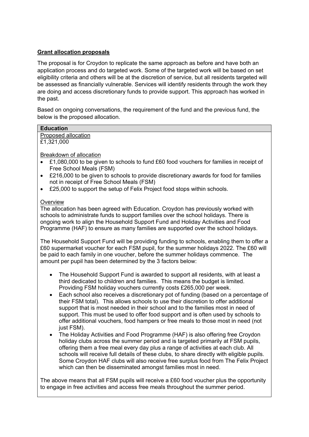# **Grant allocation proposals**

The proposal is for Croydon to replicate the same approach as before and have both an application process and do targeted work. Some of the targeted work will be based on set eligibility criteria and others will be at the discretion of service, but all residents targeted will be assessed as financially vulnerable. Services will identify residents through the work they are doing and access discretionary funds to provide support. This approach has worked in the past.

Based on ongoing conversations, the requirement of the fund and the previous fund, the below is the proposed allocation.

Proposed allocation £1,321,000

Breakdown of allocation

- £1,080,000 to be given to schools to fund £60 food vouchers for families in receipt of Free School Meals (FSM)
- £216,000 to be given to schools to provide discretionary awards for food for families not in receipt of Free School Meals (FSM)
- £25,000 to support the setup of Felix Project food stops within schools.

## **Overview**

The allocation has been agreed with Education. Croydon has previously worked with schools to administrate funds to support families over the school holidays. There is ongoing work to align the Household Support Fund and Holiday Activities and Food Programme (HAF) to ensure as many families are supported over the school holidays.

The Household Support Fund will be providing funding to schools, enabling them to offer a £60 supermarket voucher for each FSM pupil, for the summer holidays 2022. The £60 will be paid to each family in one voucher, before the summer holidays commence. The amount per pupil has been determined by the 3 factors below:

- The Household Support Fund is awarded to support all residents, with at least a third dedicated to children and families. This means the budget is limited. Providing FSM holiday vouchers currently costs £265,000 per week.
- Each school also receives a discretionary pot of funding (based on a percentage of their FSM total). This allows schools to use their discretion to offer additional support that is most needed in their school and to the families most in need of support. This must be used to offer food support and is often used by schools to offer additional vouchers, food hampers or free meals to those most in need (not just FSM).
- The Holiday Activities and Food Programme (HAF) is also offering free Croydon holiday clubs across the summer period and is targeted primarily at FSM pupils, offering them a free meal every day plus a range of activities at each club. All schools will receive full details of these clubs, to share directly with eligible pupils. Some Croydon HAF clubs will also receive free surplus food from The Felix Project which can then be disseminated amongst families most in need.

The above means that all FSM pupils will receive a £60 food voucher plus the opportunity to engage in free activities and access free meals throughout the summer period.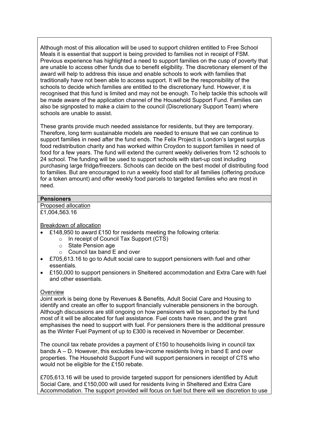Although most of this allocation will be used to support children entitled to Free School Meals it is essential that support is being provided to families not in receipt of FSM. Previous experience has highlighted a need to support families on the cusp of poverty that are unable to access other funds due to benefit eligibility. The discretionary element of the award will help to address this issue and enable schools to work with families that traditionally have not been able to access support. It will be the responsibility of the schools to decide which families are entitled to the discretionary fund. However, it is recognised that this fund is limited and may not be enough. To help tackle this schools will be made aware of the application channel of the Household Support Fund. Families can also be signposted to make a claim to the council (Discretionary Support Team) where schools are unable to assist.

These grants provide much needed assistance for residents, but they are temporary. Therefore, long term sustainable models are needed to ensure that we can continue to support families in need after the fund ends. The Felix Project is London's largest surplus food redistribution charity and has worked within Croydon to support families in need of food for a few years. The fund will extend the current weekly deliveries from 12 schools to 24 school. The funding will be used to support schools with start-up cost including purchasing large fridge/freezers. Schools can decide on the best model of distributing food to families. But are encouraged to run a weekly food stall for all families (offering produce for a token amount) and offer weekly food parcels to targeted families who are most in need.

#### **Pensioners**

Proposed allocation £1,004,563.16

Breakdown of allocation

- £148,950 to award £150 for residents meeting the following criteria:
	- o In receipt of Council Tax Support (CTS)
	- o State Pension age
	- o Council tax band E and over
- £705,613.16 to go to Adult social care to support pensioners with fuel and other essentials.
- £150,000 to support pensioners in Sheltered accommodation and Extra Care with fuel and other essentials.

#### **Overview**

Joint work is being done by Revenues & Benefits, Adult Social Care and Housing to identify and create an offer to support financially vulnerable pensioners in the borough. Although discussions are still ongoing on how pensioners will be supported by the fund most of it will be allocated for fuel assistance. Fuel costs have risen, and the grant emphasises the need to support with fuel. For pensioners there is the additional pressure as the Winter Fuel Payment of up to £300 is received in November or December.

The council tax rebate provides a payment of £150 to households living in council tax bands A – D. However, this excludes low-income residents living in band E and over properties. The Household Support Fund will support pensioners in receipt of CTS who would not be eligible for the £150 rebate.

£705,613.16 will be used to provide targeted support for pensioners identified by Adult Social Care, and £150,000 will used for residents living in Sheltered and Extra Care Accommodation. The support provided will focus on fuel but there will we discretion to use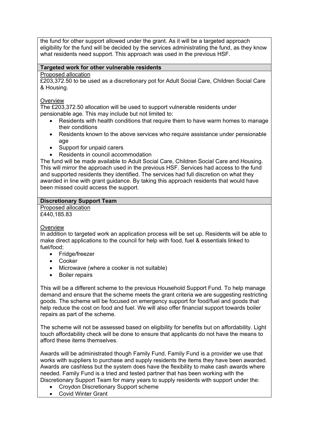the fund for other support allowed under the grant. As it will be a targeted approach eligibility for the fund will be decided by the services administrating the fund, as they know what residents need support. This approach was used in the previous HSF.

## **Targeted work for other vulnerable residents**

#### Proposed allocation

£203,372.50 to be used as a discretionary pot for Adult Social Care, Children Social Care & Housing.

## **Overview**

The £203,372.50 allocation will be used to support vulnerable residents under pensionable age. This may include but not limited to:

- Residents with health conditions that require them to have warm homes to manage their conditions
- Residents known to the above services who require assistance under pensionable age
- Support for unpaid carers
- Residents in council accommodation

The fund will be made available to Adult Social Care, Children Social Care and Housing. This will mirror the approach used in the previous HSF. Services had access to the fund and supported residents they identified. The services had full discretion on what they awarded in line with grant guidance. By taking this approach residents that would have been missed could access the support.

# **Discretionary Support Team**

Proposed allocation £440.185.83

# **Overview**

In addition to targeted work an application process will be set up. Residents will be able to make direct applications to the council for help with food, fuel & essentials linked to fuel/food:

- Fridge/freezer
- Cooker
- Microwave (where a cooker is not suitable)
- **•** Boiler repairs

This will be a different scheme to the previous Household Support Fund. To help manage demand and ensure that the scheme meets the grant criteria we are suggesting restricting goods. The scheme will be focused on emergency support for food/fuel and goods that help reduce the cost on food and fuel. We will also offer financial support towards boiler repairs as part of the scheme.

The scheme will not be assessed based on eligibility for benefits but on affordability. Light touch affordability check will be done to ensure that applicants do not have the means to afford these items themselves.

Awards will be administrated though Family Fund. Family Fund is a provider we use that works with suppliers to purchase and supply residents the items they have been awarded. Awards are cashless but the system does have the flexibility to make cash awards where needed. Family Fund is a tried and tested partner that has been working with the Discretionary Support Team for many years to supply residents with support under the:

- Croydon Discretionary Support scheme
- Covid Winter Grant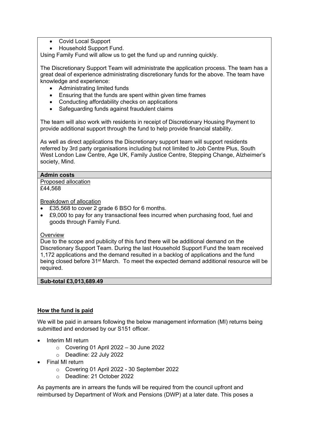- Covid Local Support
- Household Support Fund.

Using Family Fund will allow us to get the fund up and running quickly.

The Discretionary Support Team will administrate the application process. The team has a great deal of experience administrating discretionary funds for the above. The team have knowledge and experience:

- Administrating limited funds
- Ensuring that the funds are spent within given time frames
- Conducting affordability checks on applications
- Safeguarding funds against fraudulent claims

The team will also work with residents in receipt of Discretionary Housing Payment to provide additional support through the fund to help provide financial stability.

As well as direct applications the Discretionary support team will support residents referred by 3rd party organisations including but not limited to Job Centre Plus, South West London Law Centre, Age UK, Family Justice Centre, Stepping Change, Alzheimer's society, Mind.

## **Admin costs**

Proposed allocation £44,568

Breakdown of allocation

- £35,568 to cover 2 grade 6 BSO for 6 months.
- £9,000 to pay for any transactional fees incurred when purchasing food, fuel and goods through Family Fund.

#### **Overview**

Due to the scope and publicity of this fund there will be additional demand on the Discretionary Support Team. During the last Household Support Fund the team received 1,172 applications and the demand resulted in a backlog of applications and the fund being closed before 31<sup>st</sup> March. To meet the expected demand additional resource will be required.

#### **Sub-total £3,013,689.49**

#### **How the fund is paid**

We will be paid in arrears following the below management information (MI) returns being submitted and endorsed by our S151 officer.

- Interim MI return
	- $\circ$  Covering 01 April 2022 30 June 2022
	- o Deadline: 22 July 2022
- Final MI return
	- o Covering 01 April 2022 30 September 2022
	- o Deadline: 21 October 2022

As payments are in arrears the funds will be required from the council upfront and reimbursed by Department of Work and Pensions (DWP) at a later date. This poses a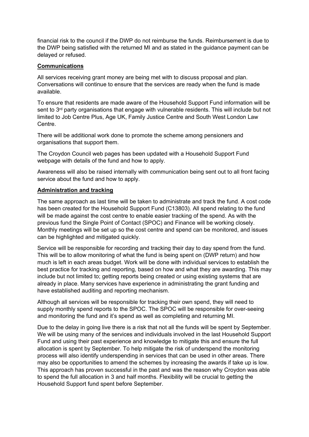financial risk to the council if the DWP do not reimburse the funds. Reimbursement is due to the DWP being satisfied with the returned MI and as stated in the guidance payment can be delayed or refused.

## **Communications**

All services receiving grant money are being met with to discuss proposal and plan. Conversations will continue to ensure that the services are ready when the fund is made available.

To ensure that residents are made aware of the Household Support Fund information will be sent to 3<sup>rd</sup> party organisations that engage with vulnerable residents. This will include but not limited to Job Centre Plus, Age UK, Family Justice Centre and South West London Law Centre.

There will be additional work done to promote the scheme among pensioners and organisations that support them.

The Croydon Council web pages has been updated with a Household Support Fund webpage with details of the fund and how to apply.

Awareness will also be raised internally with communication being sent out to all front facing service about the fund and how to apply.

## **Administration and tracking**

The same approach as last time will be taken to administrate and track the fund. A cost code has been created for the Household Support Fund (C13803). All spend relating to the fund will be made against the cost centre to enable easier tracking of the spend. As with the previous fund the Single Point of Contact (SPOC) and Finance will be working closely. Monthly meetings will be set up so the cost centre and spend can be monitored, and issues can be highlighted and mitigated quickly.

Service will be responsible for recording and tracking their day to day spend from the fund. This will be to allow monitoring of what the fund is being spent on (DWP return) and how much is left in each areas budget. Work will be done with individual services to establish the best practice for tracking and reporting, based on how and what they are awarding. This may include but not limited to; getting reports being created or using existing systems that are already in place. Many services have experience in administrating the grant funding and have established auditing and reporting mechanism.

Although all services will be responsible for tracking their own spend, they will need to supply monthly spend reports to the SPOC. The SPOC will be responsible for over-seeing and monitoring the fund and it's spend as well as completing and returning MI.

Due to the delay in going live there is a risk that not all the funds will be spent by September. We will be using many of the services and individuals involved in the last Household Support Fund and using their past experience and knowledge to mitigate this and ensure the full allocation is spent by September. To help mitigate the risk of underspend the monitoring process will also identify underspending in services that can be used in other areas. There may also be opportunities to amend the schemes by increasing the awards if take up is low. This approach has proven successful in the past and was the reason why Croydon was able to spend the full allocation in 3 and half months. Flexibility will be crucial to getting the Household Support fund spent before September.